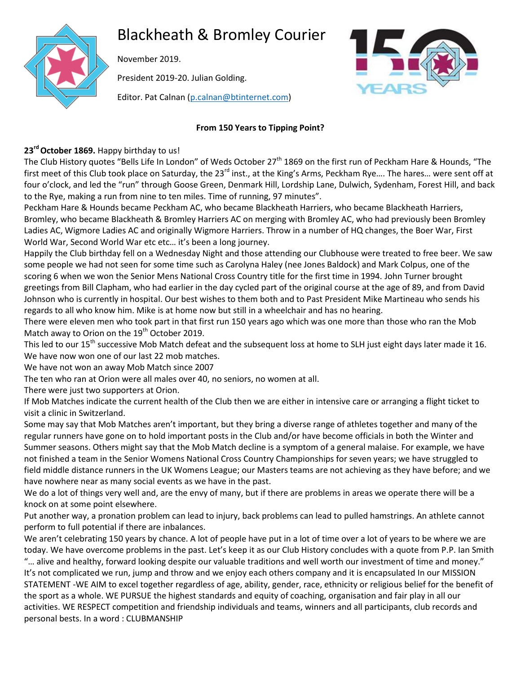# Blackheath & Bromley Courier



November 2019.

President 2019-20. Julian Golding.

Editor. Pat Calnan [\(p.calnan@btinternet.com\)](mailto:p.calnan@btinternet.com)



# **From 150 Years to Tipping Point?**

# **23rd October 1869.** Happy birthday to us!

The Club History quotes "Bells Life In London" of Weds October 27<sup>th</sup> 1869 on the first run of Peckham Hare & Hounds, "The first meet of this Club took place on Saturday, the 23<sup>rd</sup> inst., at the King's Arms, Peckham Rye.... The hares... were sent off at four o'clock, and led the "run" through Goose Green, Denmark Hill, Lordship Lane, Dulwich, Sydenham, Forest Hill, and back to the Rye, making a run from nine to ten miles. Time of running, 97 minutes".

Peckham Hare & Hounds became Peckham AC, who became Blackheath Harriers, who became Blackheath Harriers, Bromley, who became Blackheath & Bromley Harriers AC on merging with Bromley AC, who had previously been Bromley Ladies AC, Wigmore Ladies AC and originally Wigmore Harriers. Throw in a number of HQ changes, the Boer War, First World War, Second World War etc etc… it's been a long journey.

Happily the Club birthday fell on a Wednesday Night and those attending our Clubhouse were treated to free beer. We saw some people we had not seen for some time such as Carolyna Haley (nee Jones Baldock) and Mark Colpus, one of the scoring 6 when we won the Senior Mens National Cross Country title for the first time in 1994. John Turner brought greetings from Bill Clapham, who had earlier in the day cycled part of the original course at the age of 89, and from David Johnson who is currently in hospital. Our best wishes to them both and to Past President Mike Martineau who sends his regards to all who know him. Mike is at home now but still in a wheelchair and has no hearing.

There were eleven men who took part in that first run 150 years ago which was one more than those who ran the Mob Match away to Orion on the  $19<sup>th</sup>$  October 2019.

This led to our 15<sup>th</sup> successive Mob Match defeat and the subsequent loss at home to SLH just eight days later made it 16. We have now won one of our last 22 mob matches.

We have not won an away Mob Match since 2007

The ten who ran at Orion were all males over 40, no seniors, no women at all.

There were just two supporters at Orion.

If Mob Matches indicate the current health of the Club then we are either in intensive care or arranging a flight ticket to visit a clinic in Switzerland.

Some may say that Mob Matches aren't important, but they bring a diverse range of athletes together and many of the regular runners have gone on to hold important posts in the Club and/or have become officials in both the Winter and Summer seasons. Others might say that the Mob Match decline is a symptom of a general malaise. For example, we have not finished a team in the Senior Womens National Cross Country Championships for seven years; we have struggled to field middle distance runners in the UK Womens League; our Masters teams are not achieving as they have before; and we have nowhere near as many social events as we have in the past.

We do a lot of things very well and, are the envy of many, but if there are problems in areas we operate there will be a knock on at some point elsewhere.

Put another way, a pronation problem can lead to injury, back problems can lead to pulled hamstrings. An athlete cannot perform to full potential if there are inbalances.

We aren't celebrating 150 years by chance. A lot of people have put in a lot of time over a lot of years to be where we are today. We have overcome problems in the past. Let's keep it as our Club History concludes with a quote from P.P. Ian Smith "… alive and healthy, forward looking despite our valuable traditions and well worth our investment of time and money." It's not complicated we run, jump and throw and we enjoy each others company and it is encapsulated In our MISSION STATEMENT -WE AIM to excel together regardless of age, ability, gender, race, ethnicity or religious belief for the benefit of the sport as a whole. WE PURSUE the highest standards and equity of coaching, organisation and fair play in all our activities. WE RESPECT competition and friendship individuals and teams, winners and all participants, club records and personal bests. In a word : CLUBMANSHIP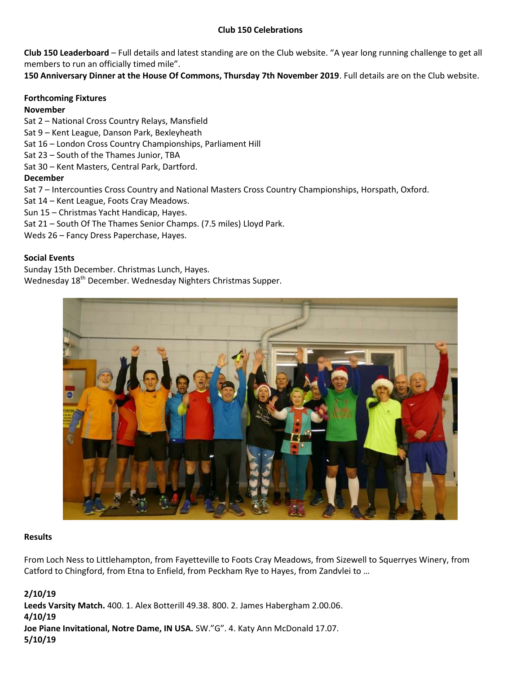### **Club 150 Celebrations**

**Club 150 Leaderboard** – Full details and latest standing are on the Club website. "A year long running challenge to get all members to run an officially timed mile".

**150 Anniversary Dinner at the House Of Commons, Thursday 7th November 2019**. Full details are on the Club website.

#### **Forthcoming Fixtures**

#### **November**

Sat 2 – National Cross Country Relays, Mansfield

- Sat 9 Kent League, Danson Park, Bexleyheath
- Sat 16 London Cross Country Championships, Parliament Hill
- Sat 23 South of the Thames Junior, TBA
- Sat 30 Kent Masters, Central Park, Dartford.

### **December**

Sat 7 – Intercounties Cross Country and National Masters Cross Country Championships, Horspath, Oxford.

- Sat 14 Kent League, Foots Cray Meadows.
- Sun 15 Christmas Yacht Handicap, Hayes.
- Sat 21 South Of The Thames Senior Champs. (7.5 miles) Lloyd Park.
- Weds 26 Fancy Dress Paperchase, Hayes.

### **Social Events**

Sunday 15th December. Christmas Lunch, Hayes.

Wednesday 18<sup>th</sup> December. Wednesday Nighters Christmas Supper.



#### **Results**

From Loch Ness to Littlehampton, from Fayetteville to Foots Cray Meadows, from Sizewell to Squerryes Winery, from Catford to Chingford, from Etna to Enfield, from Peckham Rye to Hayes, from Zandvlei to …

# **2/10/19**

**Leeds Varsity Match.** 400. 1. Alex Botterill 49.38. 800. 2. James Habergham 2.00.06. **4/10/19**

**Joe Piane Invitational, Notre Dame, IN USA.** SW."G". 4. Katy Ann McDonald 17.07. **5/10/19**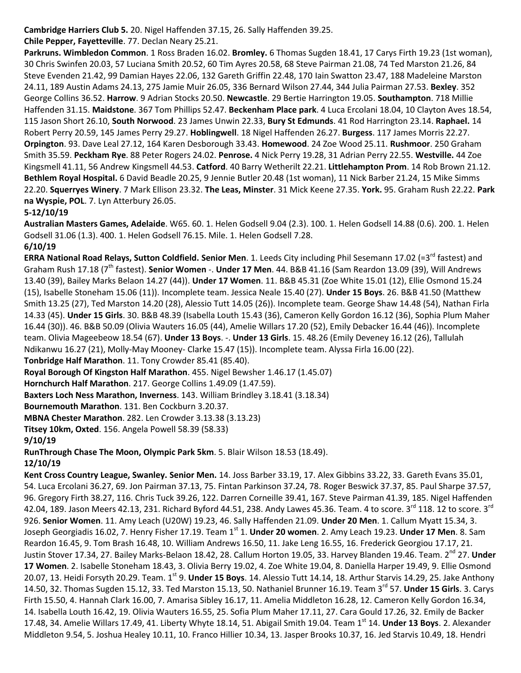**Cambridge Harriers Club 5.** 20. Nigel Haffenden 37.15, 26. Sally Haffenden 39.25.

**Chile Pepper, Fayetteville**. 77. Declan Neary 25.21.

**Parkruns. Wimbledon Common**. 1 Ross Braden 16.02. **Bromley.** 6 Thomas Sugden 18.41, 17 Carys Firth 19.23 (1st woman), 30 Chris Swinfen 20.03, 57 Luciana Smith 20.52, 60 Tim Ayres 20.58, 68 Steve Pairman 21.08, 74 Ted Marston 21.26, 84 Steve Evenden 21.42, 99 Damian Hayes 22.06, 132 Gareth Griffin 22.48, 170 Iain Swatton 23.47, 188 Madeleine Marston 24.11, 189 Austin Adams 24.13, 275 Jamie Muir 26.05, 336 Bernard Wilson 27.44, 344 Julia Pairman 27.53. **Bexley**. 352 George Collins 36.52. **Harrow**. 9 Adrian Stocks 20.50. **Newcastle**. 29 Bertie Harrington 19.05. **Southampton**. 718 Millie Haffenden 31.15. **Maidstone**. 367 Tom Phillips 52.47. **Beckenham Place park**. 4 Luca Ercolani 18.04, 10 Clayton Aves 18.54, 115 Jason Short 26.10, **South Norwood**. 23 James Unwin 22.33, **Bury St Edmunds**. 41 Rod Harrington 23.14. **Raphael.** 14 Robert Perry 20.59, 145 James Perry 29.27. **Hoblingwell**. 18 Nigel Haffenden 26.27. **Burgess**. 117 James Morris 22.27. **Orpington**. 93. Dave Leal 27.12, 164 Karen Desborough 33.43. **Homewood**. 24 Zoe Wood 25.11. **Rushmoor**. 250 Graham Smith 35.59. **Peckham Rye**. 88 Peter Rogers 24.02. **Penrose.** 4 Nick Perry 19.28, 31 Adrian Perry 22.55. **Westville.** 44 Zoe Kingsmell 41.11, 56 Andrew Kingsmell 44.53. **Catford**. 40 Barry Wetherilt 22.21. **Littlehampton Prom**. 14 Rob Brown 21.12. **Bethlem Royal Hospital.** 6 David Beadle 20.25, 9 Jennie Butler 20.48 (1st woman), 11 Nick Barber 21.24, 15 Mike Simms 22.20. **Squerryes Winery**. 7 Mark Ellison 23.32. **The Leas, Minster**. 31 Mick Keene 27.35. **York.** 95. Graham Rush 22.22. **Park na Wyspie, POL**. 7. Lyn Atterbury 26.05.

# **5-12/10/19**

**Australian Masters Games, Adelaide**. W65. 60. 1. Helen Godsell 9.04 (2.3). 100. 1. Helen Godsell 14.88 (0.6). 200. 1. Helen Godsell 31.06 (1.3). 400. 1. Helen Godsell 76.15. Mile. 1. Helen Godsell 7.28. **6/10/19**

**ERRA National Road Relays, Sutton Coldfield. Senior Men.** 1. Leeds City including Phil Sesemann 17.02 (=3<sup>rd</sup> fastest) and Graham Rush 17.18 (7 th fastest). **Senior Women** -. **Under 17 Men**. 44. B&B 41.16 (Sam Reardon 13.09 (39), Will Andrews 13.40 (39), Bailey Marks Belaon 14.27 (44)). **Under 17 Women**. 11. B&B 45.31 (Zoe White 15.01 (12), Ellie Osmond 15.24 (15), Isabelle Stoneham 15.06 (11)). Incomplete team. Jessica Neale 15.40 (27). **Under 15 Boys**. 26. B&B 41.50 (Matthew Smith 13.25 (27), Ted Marston 14.20 (28), Alessio Tutt 14.05 (26)). Incomplete team. George Shaw 14.48 (54), Nathan Firla 14.33 (45). **Under 15 Girls**. 30. B&B 48.39 (Isabella Louth 15.43 (36), Cameron Kelly Gordon 16.12 (36), Sophia Plum Maher 16.44 (30)). 46. B&B 50.09 (Olivia Wauters 16.05 (44), Amelie Willars 17.20 (52), Emily Debacker 16.44 (46)). Incomplete team. Olivia Mageebeow 18.54 (67). **Under 13 Boys**. -. **Under 13 Girls**. 15. 48.26 (Emily Deveney 16.12 (26), Tallulah Ndikanwu 16.27 (21), Molly-May Mooney- Clarke 15.47 (15)). Incomplete team. Alyssa Firla 16.00 (22).

**Tonbridge Half Marathon**. 11. Tony Crowder 85.41 (85.40).

**Royal Borough Of Kingston Half Marathon**. 455. Nigel Bewsher 1.46.17 (1.45.07)

**Hornchurch Half Marathon**. 217. George Collins 1.49.09 (1.47.59).

**Baxters Loch Ness Marathon, Inverness**. 143. William Brindley 3.18.41 (3.18.34)

**Bournemouth Marathon**. 131. Ben Cockburn 3.20.37.

**MBNA Chester Marathon**. 282. Len Crowder 3.13.38 (3.13.23)

**Titsey 10km, Oxted**. 156. Angela Powell 58.39 (58.33)

# **9/10/19**

**RunThrough Chase The Moon, Olympic Park 5km**. 5. Blair Wilson 18.53 (18.49).

# **12/10/19**

**Kent Cross Country League, Swanley. Senior Men.** 14. Joss Barber 33.19, 17. Alex Gibbins 33.22, 33. Gareth Evans 35.01, 54. Luca Ercolani 36.27, 69. Jon Pairman 37.13, 75. Fintan Parkinson 37.24, 78. Roger Beswick 37.37, 85. Paul Sharpe 37.57, 96. Gregory Firth 38.27, 116. Chris Tuck 39.26, 122. Darren Corneille 39.41, 167. Steve Pairman 41.39, 185. Nigel Haffenden 42.04, 189. Jason Meers 42.13, 231. Richard Byford 44.51, 238. Andy Lawes 45.36. Team. 4 to score. 3<sup>rd</sup> 118. 12 to score. 3<sup>rd</sup> 926. **Senior Women**. 11. Amy Leach (U20W) 19.23, 46. Sally Haffenden 21.09. **Under 20 Men**. 1. Callum Myatt 15.34, 3. Joseph Georgiadis 16.02, 7. Henry Fisher 17.19. Team 1st 1. **Under 20 women**. 2. Amy Leach 19.23. **Under 17 Men**. 8. Sam Reardon 16.45, 9. Tom Brash 16.48, 10. William Andrews 16.50, 11. Jake Leng 16.55, 16. Frederick Georgiou 17.17, 21. Justin Stover 17.34, 27. Bailey Marks-Belaon 18.42, 28. Callum Horton 19.05, 33. Harvey Blanden 19.46. Team. 2<sup>nd</sup> 27. Under **17 Women**. 2. Isabelle Stoneham 18.43, 3. Olivia Berry 19.02, 4. Zoe White 19.04, 8. Daniella Harper 19.49, 9. Ellie Osmond 20.07, 13. Heidi Forsyth 20.29. Team. 1<sup>st</sup> 9. **Under 15 Boys**. 14. Alessio Tutt 14.14, 18. Arthur Starvis 14.29, 25. Jake Anthony 14.50, 32. Thomas Sugden 15.12, 33. Ted Marston 15.13, 50. Nathaniel Brunner 16.19. Team 3rd 57. **Under 15 Girls**. 3. Carys Firth 15.50, 4. Hannah Clark 16.00, 7. Amarisa Sibley 16.17, 11. Amelia Middleton 16.28, 12. Cameron Kelly Gordon 16.34, 14. Isabella Louth 16.42, 19. Olivia Wauters 16.55, 25. Sofia Plum Maher 17.11, 27. Cara Gould 17.26, 32. Emily de Backer 17.48, 34. Amelie Willars 17.49, 41. Liberty Whyte 18.14, 51. Abigail Smith 19.04. Team 1<sup>st</sup> 14. **Under 13 Boys**. 2. Alexander Middleton 9.54, 5. Joshua Healey 10.11, 10. Franco Hillier 10.34, 13. Jasper Brooks 10.37, 16. Jed Starvis 10.49, 18. Hendri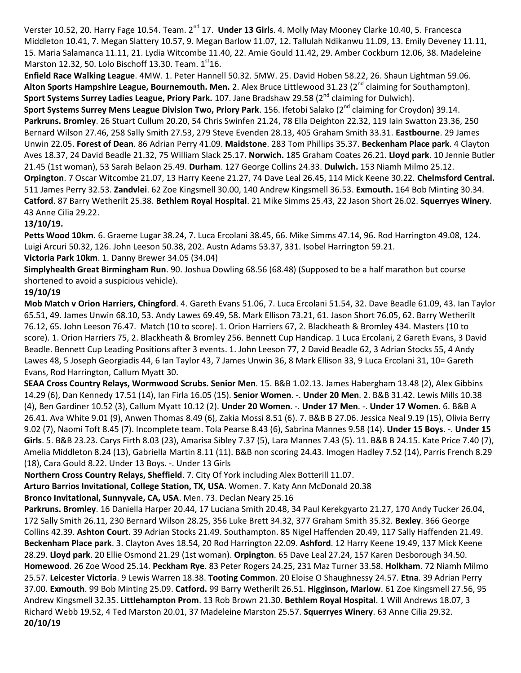Verster 10.52, 20. Harry Fage 10.54. Team. 2<sup>nd</sup> 17. **Under 13 Girls**. 4. Molly May Mooney Clarke 10.40, 5. Francesca Middleton 10.41, 7. Megan Slattery 10.57, 9. Megan Barlow 11.07, 12. Tallulah Ndikanwu 11.09, 13. Emily Deveney 11.11, 15. Maria Salamanca 11.11, 21. Lydia Witcombe 11.40, 22. Amie Gould 11.42, 29. Amber Cockburn 12.06, 38. Madeleine Marston 12.32, 50. Lolo Bischoff 13.30. Team.  $1<sup>st</sup>16$ .

**Enfield Race Walking League**. 4MW. 1. Peter Hannell 50.32. 5MW. 25. David Hoben 58.22, 26. Shaun Lightman 59.06. Alton Sports Hampshire League, Bournemouth. Men. 2. Alex Bruce Littlewood 31.23 (2<sup>nd</sup> claiming for Southampton). **Sport Systems Surrey Ladies League, Priory Park.** 107. Jane Bradshaw 29.58 (2<sup>nd</sup> claiming for Dulwich).

**Sport Systems Surrey Mens League Division Two, Priory Park**. 156. Ifetobi Salako (2<sup>nd</sup> claiming for Croydon) 39.14. **Parkruns. Bromley**. 26 Stuart Cullum 20.20, 54 Chris Swinfen 21.24, 78 Ella Deighton 22.32, 119 Iain Swatton 23.36, 250 Bernard Wilson 27.46, 258 Sally Smith 27.53, 279 Steve Evenden 28.13, 405 Graham Smith 33.31. **Eastbourne**. 29 James Unwin 22.05. **Forest of Dean**. 86 Adrian Perry 41.09. **Maidstone**. 283 Tom Phillips 35.37. **Beckenham Place park**. 4 Clayton Aves 18.37, 24 David Beadle 21.32, 75 William Slack 25.17. **Norwich.** 185 Graham Coates 26.21. **Lloyd park**. 10 Jennie Butler 21.45 (1st woman), 53 Sarah Belaon 25.49. **Durham**. 127 George Collins 24.33. **Dulwich.** 153 Niamh Milmo 25.12. **Orpington**. 7 Oscar Witcombe 21.07, 13 Harry Keene 21.27, 74 Dave Leal 26.45, 114 Mick Keene 30.22. **Chelmsford Central.** 511 James Perry 32.53. **Zandvlei**. 62 Zoe Kingsmell 30.00, 140 Andrew Kingsmell 36.53. **Exmouth.** 164 Bob Minting 30.34. **Catford**. 87 Barry Wetherilt 25.38. **Bethlem Royal Hospital**. 21 Mike Simms 25.43, 22 Jason Short 26.02. **Squerryes Winery**. 43 Anne Cilia 29.22.

### **13/10/19.**

**Petts Wood 10km.** 6. Graeme Lugar 38.24, 7. Luca Ercolani 38.45, 66. Mike Simms 47.14, 96. Rod Harrington 49.08, 124. Luigi Arcuri 50.32, 126. John Leeson 50.38, 202. Austn Adams 53.37, 331. Isobel Harrington 59.21.

**Victoria Park 10km**. 1. Danny Brewer 34.05 (34.04)

**Simplyhealth Great Birmingham Run**. 90. Joshua Dowling 68.56 (68.48) (Supposed to be a half marathon but course shortened to avoid a suspicious vehicle).

### **19/10/19**

**Mob Match v Orion Harriers, Chingford**. 4. Gareth Evans 51.06, 7. Luca Ercolani 51.54, 32. Dave Beadle 61.09, 43. Ian Taylor 65.51, 49. James Unwin 68.10, 53. Andy Lawes 69.49, 58. Mark Ellison 73.21, 61. Jason Short 76.05, 62. Barry Wetherilt 76.12, 65. John Leeson 76.47. Match (10 to score). 1. Orion Harriers 67, 2. Blackheath & Bromley 434. Masters (10 to score). 1. Orion Harriers 75, 2. Blackheath & Bromley 256. Bennett Cup Handicap. 1 Luca Ercolani, 2 Gareth Evans, 3 David Beadle. Bennett Cup Leading Positions after 3 events. 1. John Leeson 77, 2 David Beadle 62, 3 Adrian Stocks 55, 4 Andy Lawes 48, 5 Joseph Georgiadis 44, 6 Ian Taylor 43, 7 James Unwin 36, 8 Mark Ellison 33, 9 Luca Ercolani 31, 10= Gareth Evans, Rod Harrington, Callum Myatt 30.

**SEAA Cross Country Relays, Wormwood Scrubs. Senior Men**. 15. B&B 1.02.13. James Habergham 13.48 (2), Alex Gibbins 14.29 (6), Dan Kennedy 17.51 (14), Ian Firla 16.05 (15). **Senior Women**. -. **Under 20 Men**. 2. B&B 31.42. Lewis Mills 10.38 (4), Ben Gardiner 10.52 (3), Callum Myatt 10.12 (2). **Under 20 Women**. -. **Under 17 Men**. -. **Under 17 Women**. 6. B&B A 26.41. Ava White 9.01 (9), Anwen Thomas 8.49 (6), Zakia Mossi 8.51 (6). 7. B&B B 27.06. Jessica Neal 9.19 (15), Olivia Berry 9.02 (7), Naomi Toft 8.45 (7). Incomplete team. Tola Pearse 8.43 (6), Sabrina Mannes 9.58 (14). **Under 15 Boys**. -. **Under 15 Girls**. 5. B&B 23.23. Carys Firth 8.03 (23), Amarisa Sibley 7.37 (5), Lara Mannes 7.43 (5). 11. B&B B 24.15. Kate Price 7.40 (7), Amelia Middleton 8.24 (13), Gabriella Martin 8.11 (11). B&B non scoring 24.43. Imogen Hadley 7.52 (14), Parris French 8.29 (18), Cara Gould 8.22. Under 13 Boys. -. Under 13 Girls

**Northern Cross Country Relays, Sheffield**. 7. City Of York including Alex Botterill 11.07.

**Arturo Barrios Invitational, College Station, TX, USA**. Women. 7. Katy Ann McDonald 20.38

**Bronco Invitational, Sunnyvale, CA, USA**. Men. 73. Declan Neary 25.16

**Parkruns. Bromley**. 16 Daniella Harper 20.44, 17 Luciana Smith 20.48, 34 Paul Kerekgyarto 21.27, 170 Andy Tucker 26.04, 172 Sally Smith 26.11, 230 Bernard Wilson 28.25, 356 Luke Brett 34.32, 377 Graham Smith 35.32. **Bexley**. 366 George Collins 42.39. **Ashton Court**. 39 Adrian Stocks 21.49. Southampton. 85 Nigel Haffenden 20.49, 117 Sally Haffenden 21.49. **Beckenham Place park**. 3. Clayton Aves 18.54, 20 Rod Harrington 22.09. **Ashford**. 12 Harry Keene 19.49, 137 Mick Keene 28.29. **Lloyd park**. 20 Ellie Osmond 21.29 (1st woman). **Orpington**. 65 Dave Leal 27.24, 157 Karen Desborough 34.50. **Homewood**. 26 Zoe Wood 25.14. **Peckham Rye**. 83 Peter Rogers 24.25, 231 Maz Turner 33.58. **Holkham**. 72 Niamh Milmo 25.57. **Leicester Victoria**. 9 Lewis Warren 18.38. **Tooting Common**. 20 Eloise O Shaughnessy 24.57. **Etna**. 39 Adrian Perry 37.00. **Exmouth**. 99 Bob Minting 25.09. **Catford.** 99 Barry Wetherilt 26.51. **Higginson, Marlow**. 61 Zoe Kingsmell 27.56, 95 Andrew Kingsmell 32.35. **Littlehampton Prom**. 13 Rob Brown 21.30. **Bethlem Royal Hospital**. 1 Will Andrews 18.07, 3 Richard Webb 19.52, 4 Ted Marston 20.01, 37 Madeleine Marston 25.57. **Squerryes Winery**. 63 Anne Cilia 29.32. **20/10/19**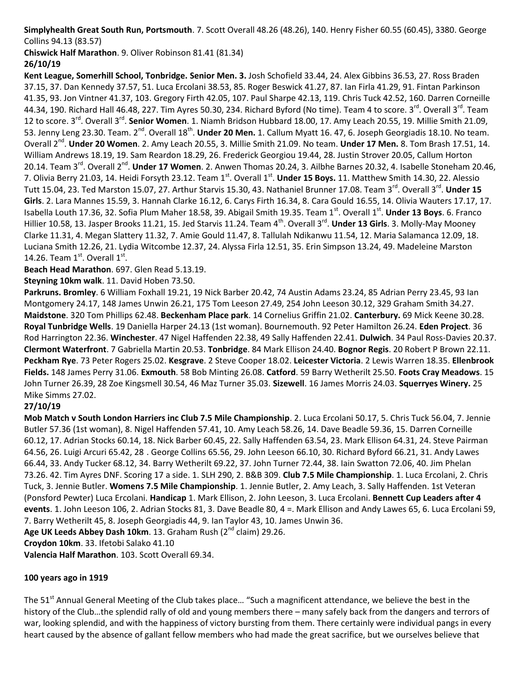**Simplyhealth Great South Run, Portsmouth**. 7. Scott Overall 48.26 (48.26), 140. Henry Fisher 60.55 (60.45), 3380. George Collins 94.13 (83.57)

**Chiswick Half Marathon**. 9. Oliver Robinson 81.41 (81.34)

# **26/10/19**

**Kent League, Somerhill School, Tonbridge. Senior Men. 3.** Josh Schofield 33.44, 24. Alex Gibbins 36.53, 27. Ross Braden 37.15, 37. Dan Kennedy 37.57, 51. Luca Ercolani 38.53, 85. Roger Beswick 41.27, 87. Ian Firla 41.29, 91. Fintan Parkinson 41.35, 93. Jon Vintner 41.37, 103. Gregory Firth 42.05, 107. Paul Sharpe 42.13, 119. Chris Tuck 42.52, 160. Darren Corneille 44.34, 190. Richard Hall 46.48, 227. Tim Ayres 50.30, 234. Richard Byford (No time). Team 4 to score. 3<sup>rd</sup>. Overall 3<sup>rd</sup>. Team 12 to score. 3<sup>rd</sup>. Overall 3<sup>rd</sup>. Senior Women. 1. Niamh Bridson Hubbard 18.00, 17. Amy Leach 20.55, 19. Millie Smith 21.09, 53. Jenny Leng 23.30. Team. 2<sup>nd</sup>. Overall 18<sup>th</sup>. **Under 20 Men.** 1. Callum Myatt 16. 47, 6. Joseph Georgiadis 18.10. No team. Overall 2<sup>nd</sup>. Under 20 Women. 2. Amy Leach 20.55, 3. Millie Smith 21.09. No team. Under 17 Men. 8. Tom Brash 17.51, 14. William Andrews 18.19, 19. Sam Reardon 18.29, 26. Frederick Georgiou 19.44, 28. Justin Strover 20.05, Callum Horton 20.14. Team 3<sup>rd</sup>. Overall 2<sup>nd</sup>. **Under 17 Women**. 2. Anwen Thomas 20.24, 3. Ailbhe Barnes 20.32, 4. Isabelle Stoneham 20.46, 7. Olivia Berry 21.03, 14. Heidi Forsyth 23.12. Team 1<sup>st</sup>. Overall 1<sup>st</sup>. Under 15 Boys. 11. Matthew Smith 14.30, 22. Alessio Tutt 15.04, 23. Ted Marston 15.07, 27. Arthur Starvis 15.30, 43. Nathaniel Brunner 17.08. Team 3<sup>rd</sup>. Overall 3<sup>rd</sup>. **Under 15 Girls**. 2. Lara Mannes 15.59, 3. Hannah Clarke 16.12, 6. Carys Firth 16.34, 8. Cara Gould 16.55, 14. Olivia Wauters 17.17, 17. Isabella Louth 17.36, 32. Sofia Plum Maher 18.58, 39. Abigail Smith 19.35. Team 1<sup>st</sup>. Overall 1<sup>st</sup>. Under 13 Boys. 6. Franco Hillier 10.58, 13. Jasper Brooks 11.21, 15. Jed Starvis 11.24. Team 4<sup>th</sup>. Overall 3<sup>rd</sup>. **Under 13 Girls**. 3. Molly-May Mooney Clarke 11.31, 4. Megan Slattery 11.32, 7. Amie Gould 11.47, 8. Tallulah Ndikanwu 11.54, 12. Maria Salamanca 12.09, 18. Luciana Smith 12.26, 21. Lydia Witcombe 12.37, 24. Alyssa Firla 12.51, 35. Erin Simpson 13.24, 49. Madeleine Marston 14.26. Team  $1^{st}$ . Overall  $1^{st}$ .

**Beach Head Marathon**. 697. Glen Read 5.13.19.

**Steyning 10km walk**. 11. David Hoben 73.50.

**Parkruns. Bromley**. 6 William Foxhall 19.21, 19 Nick Barber 20.42, 74 Austin Adams 23.24, 85 Adrian Perry 23.45, 93 Ian Montgomery 24.17, 148 James Unwin 26.21, 175 Tom Leeson 27.49, 254 John Leeson 30.12, 329 Graham Smith 34.27. **Maidstone**. 320 Tom Phillips 62.48. **Beckenham Place park**. 14 Cornelius Griffin 21.02. **Canterbury.** 69 Mick Keene 30.28. **Royal Tunbridge Wells**. 19 Daniella Harper 24.13 (1st woman). Bournemouth. 92 Peter Hamilton 26.24. **Eden Project**. 36 Rod Harrington 22.36. **Winchester**. 47 Nigel Haffenden 22.38, 49 Sally Haffenden 22.41. **Dulwich**. 34 Paul Ross-Davies 20.37. **Clermont Waterfront**. 7 Gabriella Martin 20.53. **Tonbridge**. 84 Mark Ellison 24.40. **Bognor Regis**. 20 Robert P Brown 22.11. **Peckham Rye**. 73 Peter Rogers 25.02. **Kesgrave**. 2 Steve Cooper 18.02. **Leicester Victoria**. 2 Lewis Warren 18.35. **Ellenbrook Fields.** 148 James Perry 31.06. **Exmouth**. 58 Bob Minting 26.08. **Catford**. 59 Barry Wetherilt 25.50. **Foots Cray Meadows**. 15 John Turner 26.39, 28 Zoe Kingsmell 30.54, 46 Maz Turner 35.03. **Sizewell**. 16 James Morris 24.03. **Squerryes Winery.** 25 Mike Simms 27.02.

# **27/10/19**

**Mob Match v South London Harriers inc Club 7.5 Mile Championship**. 2. Luca Ercolani 50.17, 5. Chris Tuck 56.04, 7. Jennie Butler 57.36 (1st woman), 8. Nigel Haffenden 57.41, 10. Amy Leach 58.26, 14. Dave Beadle 59.36, 15. Darren Corneille 60.12, 17. Adrian Stocks 60.14, 18. Nick Barber 60.45, 22. Sally Haffenden 63.54, 23. Mark Ellison 64.31, 24. Steve Pairman 64.56, 26. Luigi Arcuri 65.42, 28 . George Collins 65.56, 29. John Leeson 66.10, 30. Richard Byford 66.21, 31. Andy Lawes 66.44, 33. Andy Tucker 68.12, 34. Barry Wetherilt 69.22, 37. John Turner 72.44, 38. Iain Swatton 72.06, 40. Jim Phelan 73.26. 42. Tim Ayres DNF. Scoring 17 a side. 1. SLH 290, 2. B&B 309. **Club 7.5 Mile Championship**. 1. Luca Ercolani, 2. Chris Tuck, 3. Jennie Butler. **Womens 7.5 Mile Championship**. 1. Jennie Butler, 2. Amy Leach, 3. Sally Haffenden. 1st Veteran (Ponsford Pewter) Luca Ercolani. **Handicap** 1. Mark Ellison, 2. John Leeson, 3. Luca Ercolani. **Bennett Cup Leaders after 4 events**. 1. John Leeson 106, 2. Adrian Stocks 81, 3. Dave Beadle 80, 4 =. Mark Ellison and Andy Lawes 65, 6. Luca Ercolani 59, 7. Barry Wetherilt 45, 8. Joseph Georgiadis 44, 9. Ian Taylor 43, 10. James Unwin 36.

**Age UK Leeds Abbey Dash 10km.** 13. Graham Rush (2<sup>nd</sup> claim) 29.26.

**Croydon 10km**. 33. Ifetobi Salako 41.10

**Valencia Half Marathon**. 103. Scott Overall 69.34.

# **100 years ago in 1919**

The 51<sup>st</sup> Annual General Meeting of the Club takes place... "Such a magnificent attendance, we believe the best in the history of the Club…the splendid rally of old and young members there – many safely back from the dangers and terrors of war, looking splendid, and with the happiness of victory bursting from them. There certainly were individual pangs in every heart caused by the absence of gallant fellow members who had made the great sacrifice, but we ourselves believe that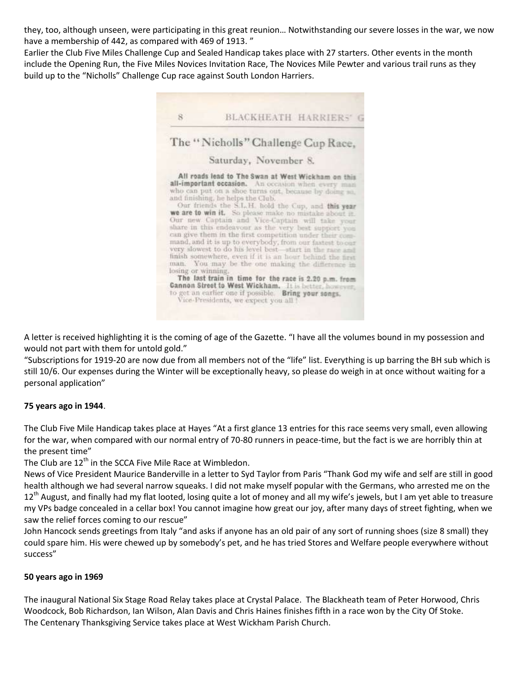they, too, although unseen, were participating in this great reunion… Notwithstanding our severe losses in the war, we now have a membership of 442, as compared with 469 of 1913."

Earlier the Club Five Miles Challenge Cup and Sealed Handicap takes place with 27 starters. Other events in the month include the Opening Run, the Five Miles Novices Invitation Race, The Novices Mile Pewter and various trail runs as they build up to the "Nicholls" Challenge Cup race against South London Harriers.



A letter is received highlighting it is the coming of age of the Gazette. "I have all the volumes bound in my possession and would not part with them for untold gold."

"Subscriptions for 1919-20 are now due from all members not of the "life" list. Everything is up barring the BH sub which is still 10/6. Our expenses during the Winter will be exceptionally heavy, so please do weigh in at once without waiting for a personal application"

# **75 years ago in 1944**.

The Club Five Mile Handicap takes place at Hayes "At a first glance 13 entries for this race seems very small, even allowing for the war, when compared with our normal entry of 70-80 runners in peace-time, but the fact is we are horribly thin at the present time"

The Club are  $12<sup>th</sup>$  in the SCCA Five Mile Race at Wimbledon.

News of Vice President Maurice Banderville in a letter to Syd Taylor from Paris "Thank God my wife and self are still in good health although we had several narrow squeaks. I did not make myself popular with the Germans, who arrested me on the  $12^{\text{th}}$  August, and finally had my flat looted, losing quite a lot of money and all my wife's jewels, but I am yet able to treasure my VPs badge concealed in a cellar box! You cannot imagine how great our joy, after many days of street fighting, when we saw the relief forces coming to our rescue"

John Hancock sends greetings from Italy "and asks if anyone has an old pair of any sort of running shoes (size 8 small) they could spare him. His were chewed up by somebody's pet, and he has tried Stores and Welfare people everywhere without success"

#### **50 years ago in 1969**

The inaugural National Six Stage Road Relay takes place at Crystal Palace. The Blackheath team of Peter Horwood, Chris Woodcock, Bob Richardson, Ian Wilson, Alan Davis and Chris Haines finishes fifth in a race won by the City Of Stoke. The Centenary Thanksgiving Service takes place at West Wickham Parish Church.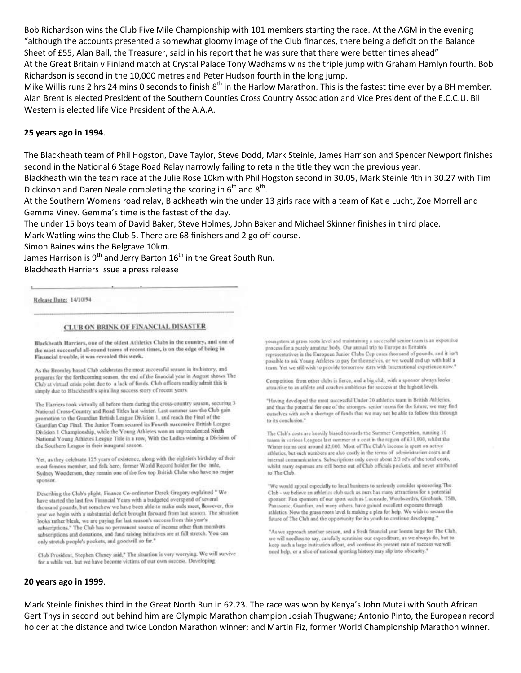Bob Richardson wins the Club Five Mile Championship with 101 members starting the race. At the AGM in the evening "although the accounts presented a somewhat gloomy image of the Club finances, there being a deficit on the Balance Sheet of £55, Alan Ball, the Treasurer, said in his report that he was sure that there were better times ahead" At the Great Britain v Finland match at Crystal Palace Tony Wadhams wins the triple jump with Graham Hamlyn fourth. Bob Richardson is second in the 10,000 metres and Peter Hudson fourth in the long jump.

Mike Willis runs 2 hrs 24 mins 0 seconds to finish 8<sup>th</sup> in the Harlow Marathon. This is the fastest time ever by a BH member. Alan Brent is elected President of the Southern Counties Cross Country Association and Vice President of the E.C.C.U. Bill Western is elected life Vice President of the A.A.A.

#### **25 years ago in 1994**.

The Blackheath team of Phil Hogston, Dave Taylor, Steve Dodd, Mark Steinle, James Harrison and Spencer Newport finishes second in the National 6 Stage Road Relay narrowly failing to retain the title they won the previous year.

Blackheath win the team race at the Julie Rose 10km with Phil Hogston second in 30.05, Mark Steinle 4th in 30.27 with Tim Dickinson and Daren Neale completing the scoring in  $6<sup>th</sup>$  and  $8<sup>th</sup>$ .

At the Southern Womens road relay, Blackheath win the under 13 girls race with a team of Katie Lucht, Zoe Morrell and Gemma Viney. Gemma's time is the fastest of the day.

The under 15 boys team of David Baker, Steve Holmes, John Baker and Michael Skinner finishes in third place.

Mark Watling wins the Club 5. There are 68 finishers and 2 go off course.

Simon Baines wins the Belgrave 10km.

James Harrison is 9<sup>th</sup> and Jerry Barton  $16^{th}$  in the Great South Run.

Blackheath Harriers issue a press release

Release Date: 14/10/94

#### CLUB ON BRINK OF FINANCIAL DISASTER

Blackheath Harriers, one of the oldest Athletics Clubs in the country, and one of the most successful all-round teams of recent times, is on the edge of being in Financial trouble, it was revealed this week.

As the Bromley based Club celebrates the most successful season in its history, and prepares for the forthcoming season, the end of the financial year in August shows The Club at virtual crisis point due to a lack of funds. Club officers readily admit this is simply due to Blackheath's spiralling success story of recent years.

The Harriers took virtually all before them during the cross-country season, securing 3 National Cross-Country and Road Titles last winter. Last summer saw the Club gain promotion to the Guardian British League Division 1, and reach the Final of the Guardian Cup Final. The Junior Team secured its Fourth successive British League Division 1 Championship, while the Young Athletes won an unprecedented Sixth National Young Athletes League Title in a row, With the Ladies winning a Division of the Southern League in their inaugural season.

Yet, as they celebrate 125 years of existence, along with the eightieth birthday of their most famous member, and folk hero, former World Record holder for the mile, Sydney Wooderson, they remain one of the few top British Clubs who have no major sponsor

Describing the Club's plight, Finance Co-ordinator Derek Gregory explained " We have started the last few Financial Years with a budgeted overspend of several thousand pounds, but somehow we have been able to make ends meet, however, this year we begin with a substantial deficit brought forward from last season. The situation looks rather bleak, we are paying for last season's success from this year's subscriptions.<sup>4</sup> The Club has no permanent source of income other than members subscriptions and donations, and fund raising initiatives are at full stretch. You can only stretch people's pockets, and goodwill so far."

Club President, Stephen Cluney said," The situation is very worrying. We will survive for a while yet, but we have become victims of our own success. Developing

youngsters at grass roots level and maintaining a successful senior team is an expensive process for a purely amateur body. Our annual trip to Europe as Britain's representatives in the European Junior Clubs Cup costs thousand of pounds, and it just possible to ask Young Athletes to pay for themselves, or we would end up with half a team. Yet we still wish to provide tomorrow stars with International experience now.

Competition from other clubs is fierce, and a big club, with a sponsor always looks attractive to an athlete and coaches ambitious for success at the highest levels.

"Having developed the most successful Under 20 athletics team in British Athletics, and thus the potential for one of the strongest senior teams for the future, we may find ourselves with such a shortage of funds that we may not be able to follow this through to its conclusion."

The Club's costs are heavily biased towards the Summer Competition, running 10 teams in various Leagues last summer at a cost in the region of £31,000, whilst the Winter teams cest around £2,000. Most of The Club's income is spent on active athletics, but such numbers are also costly in the terms of administration costs and internal communications. Subscriptions only cover about 2/3 rd's of the total costs, whilst many expenses are still borne out of Club officials pockets, and never attributed to The Club

"We would appeal especially to local business to seriously consider sponsoring The Club - we believe an athletics club such as ours has many attractions for a potential sponsor. Past sponsors of our sport such as Lucozade, Woolworth's, Girobank, TSB, Panasonic, Guardian, and many others, have gained excellent exposure through athletics. Now the grass roots level is making a plea for help. We wish to secure the future of The Club and the opportunity for its youth to continue developing."

"As we approach another season, and a fresh financial year looms large for The Club, we will needless to say, carefully scrutinise our expenditure, as we always do, but to keep such a large institution afloat, and continue its present rate of success we will need help, or a slice of national sporting history may slip into obscurity."

#### **20 years ago in 1999**.

Mark Steinle finishes third in the Great North Run in 62.23. The race was won by Kenya's John Mutai with South African Gert Thys in second but behind him are Olympic Marathon champion Josiah Thugwane; Antonio Pinto, the European record holder at the distance and twice London Marathon winner; and Martin Fiz, former World Championship Marathon winner.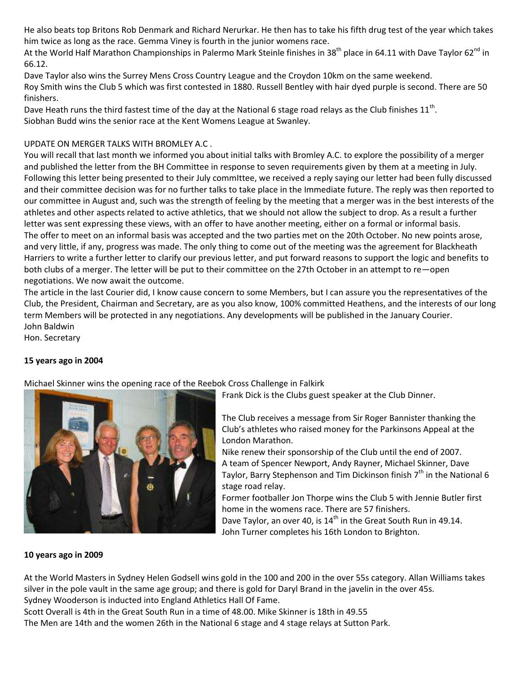He also beats top Britons Rob Denmark and Richard Nerurkar. He then has to take his fifth drug test of the year which takes him twice as long as the race. Gemma Viney is fourth in the junior womens race.

At the World Half Marathon Championships in Palermo Mark Steinle finishes in 38<sup>th</sup> place in 64.11 with Dave Taylor 62<sup>nd</sup> in 66.12.

Dave Taylor also wins the Surrey Mens Cross Country League and the Croydon 10km on the same weekend. Roy Smith wins the Club 5 which was first contested in 1880. Russell Bentley with hair dyed purple is second. There are 50 finishers.

Dave Heath runs the third fastest time of the day at the National 6 stage road relays as the Club finishes 11<sup>th</sup>. Siobhan Budd wins the senior race at the Kent Womens League at Swanley.

# UPDATE ON MERGER TALKS WITH BROMLEY A.C .

You will recall that last month we informed you about initial talks with Bromley A.C. to explore the possibility of a merger and published the letter from the BH Committee in response to seven requirements given by them at a meeting in July. Following this letter being presented to their July commIttee, we received a reply saying our letter had been fully discussed and their committee decision was for no further talks to take place in the Immediate future. The reply was then reported to our committee in August and, such was the strength of feeling by the meeting that a merger was in the best interests of the athletes and other aspects related to active athletics, that we should not allow the subject to drop. As a result a further letter was sent expressing these views, with an offer to have another meeting, either on a formal or informal basis. The offer to meet on an informal basis was accepted and the two parties met on the 20th October. No new points arose, and very little, if any, progress was made. The only thing to come out of the meeting was the agreement for Blackheath Harriers to write a further letter to clarify our previous letter, and put forward reasons to support the logic and benefits to both clubs of a merger. The letter will be put to their committee on the 27th October in an attempt to re—open negotiations. We now await the outcome.

The article in the last Courier did, I know cause concern to some Members, but I can assure you the representatives of the Club, the President, Chairman and Secretary, are as you also know, 100% committed Heathens, and the interests of our long term Members will be protected in any negotiations. Any developments will be published in the January Courier. John Baldwin

Hon. Secretary

#### **15 years ago in 2004**

Michael Skinner wins the opening race of the Reebok Cross Challenge in Falkirk



Frank Dick is the Clubs guest speaker at the Club Dinner.

The Club receives a message from Sir Roger Bannister thanking the Club's athletes who raised money for the Parkinsons Appeal at the London Marathon.

Nike renew their sponsorship of the Club until the end of 2007. A team of Spencer Newport, Andy Rayner, Michael Skinner, Dave Taylor, Barry Stephenson and Tim Dickinson finish  $7<sup>th</sup>$  in the National 6 stage road relay.

Former footballer Jon Thorpe wins the Club 5 with Jennie Butler first home in the womens race. There are 57 finishers.

Dave Taylor, an over 40, is 14<sup>th</sup> in the Great South Run in 49.14. John Turner completes his 16th London to Brighton.

#### **10 years ago in 2009**

At the World Masters in Sydney Helen Godsell wins gold in the 100 and 200 in the over 55s category. Allan Williams takes silver in the pole vault in the same age group; and there is gold for Daryl Brand in the javelin in the over 45s. Sydney Wooderson is inducted into England Athletics Hall Of Fame.

Scott Overall is 4th in the Great South Run in a time of 48.00. Mike Skinner is 18th in 49.55

The Men are 14th and the women 26th in the National 6 stage and 4 stage relays at Sutton Park.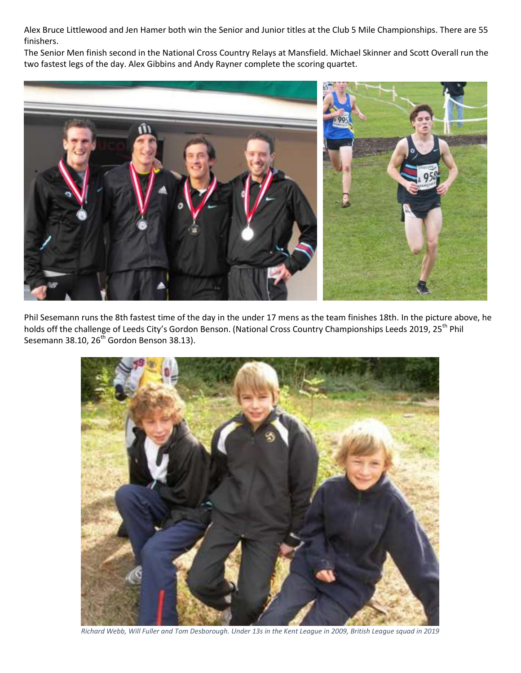Alex Bruce Littlewood and Jen Hamer both win the Senior and Junior titles at the Club 5 Mile Championships. There are 55 finishers.

The Senior Men finish second in the National Cross Country Relays at Mansfield. Michael Skinner and Scott Overall run the two fastest legs of the day. Alex Gibbins and Andy Rayner complete the scoring quartet.



Phil Sesemann runs the 8th fastest time of the day in the under 17 mens as the team finishes 18th. In the picture above, he holds off the challenge of Leeds City's Gordon Benson. (National Cross Country Championships Leeds 2019, 25<sup>th</sup> Phil Sesemann 38.10,  $26<sup>th</sup>$  Gordon Benson 38.13).



*Richard Webb, Will Fuller and Tom Desborough. Under 13s in the Kent League in 2009, British League squad in 2019*